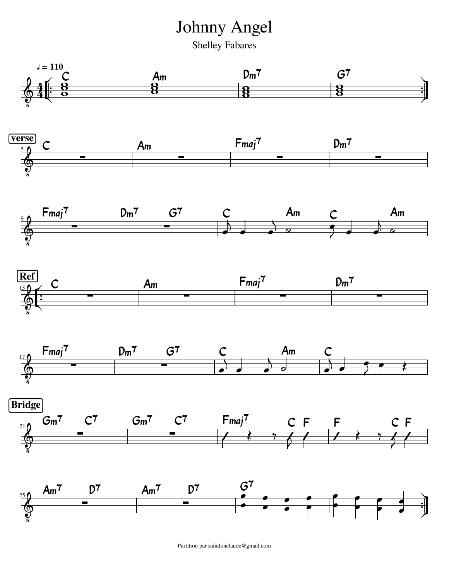Johnny Angel

Shelley Fabares



Partition par saindonclaude@gmail.com